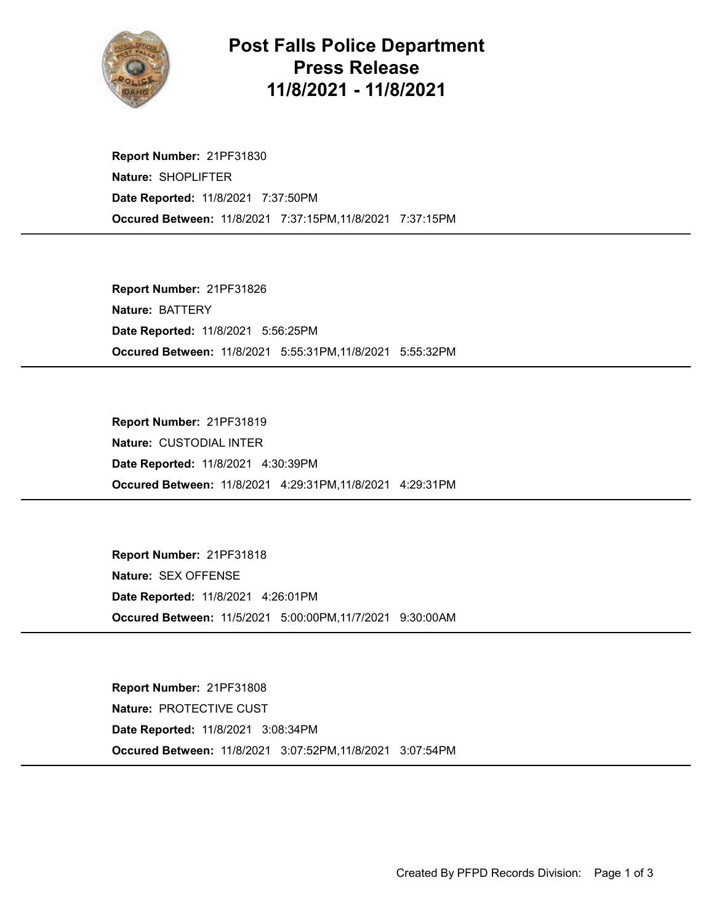

## Post Falls Police Department Press Release 11/8/2021 - 11/8/2021

Occured Between: 11/8/2021 7:37:15PM,11/8/2021 7:37:15PM Report Number: 21PF31830 Nature: SHOPLIFTER Date Reported: 11/8/2021 7:37:50PM

Occured Between: 11/8/2021 5:55:31PM,11/8/2021 5:55:32PM Report Number: 21PF31826 Nature: BATTERY Date Reported: 11/8/2021 5:56:25PM

Occured Between: 11/8/2021 4:29:31PM,11/8/2021 4:29:31PM Report Number: 21PF31819 Nature: CUSTODIAL INTER Date Reported: 11/8/2021 4:30:39PM

Occured Between: 11/5/2021 5:00:00PM,11/7/2021 9:30:00AM Report Number: 21PF31818 Nature: SEX OFFENSE Date Reported: 11/8/2021 4:26:01PM

Occured Between: 11/8/2021 3:07:52PM,11/8/2021 3:07:54PM Report Number: 21PF31808 Nature: PROTECTIVE CUST Date Reported: 11/8/2021 3:08:34PM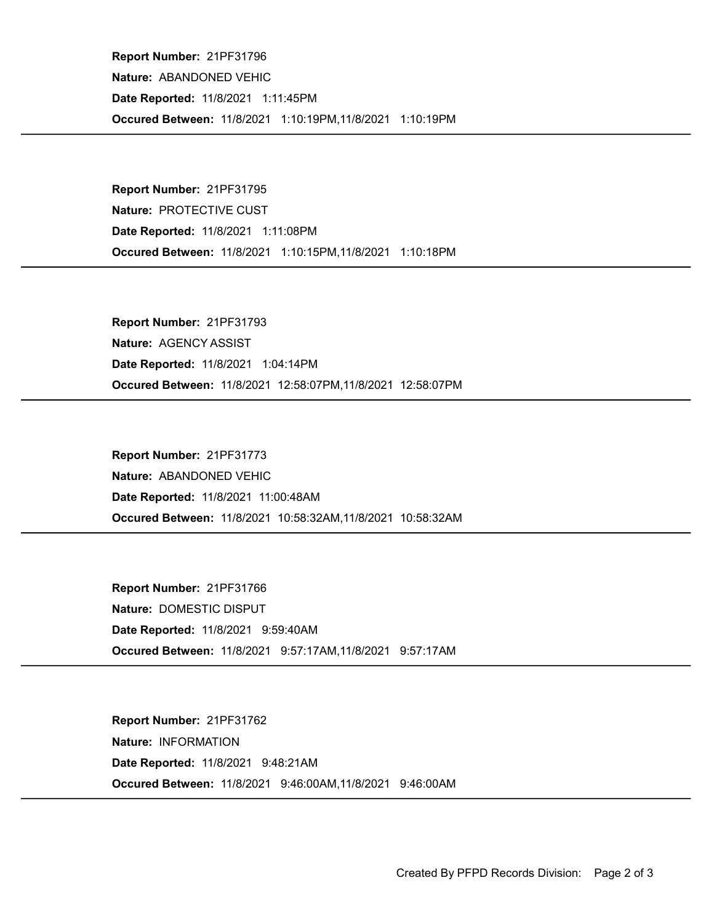Occured Between: 11/8/2021 1:10:19PM,11/8/2021 1:10:19PM Report Number: 21PF31796 Nature: ABANDONED VEHIC Date Reported: 11/8/2021 1:11:45PM

Occured Between: 11/8/2021 1:10:15PM,11/8/2021 1:10:18PM Report Number: 21PF31795 Nature: PROTECTIVE CUST Date Reported: 11/8/2021 1:11:08PM

Occured Between: 11/8/2021 12:58:07PM,11/8/2021 12:58:07PM Report Number: 21PF31793 Nature: AGENCY ASSIST Date Reported: 11/8/2021 1:04:14PM

Occured Between: 11/8/2021 10:58:32AM,11/8/2021 10:58:32AM Report Number: 21PF31773 Nature: ABANDONED VEHIC Date Reported: 11/8/2021 11:00:48AM

Occured Between: 11/8/2021 9:57:17AM,11/8/2021 9:57:17AM Report Number: 21PF31766 Nature: DOMESTIC DISPUT Date Reported: 11/8/2021 9:59:40AM

Occured Between: 11/8/2021 9:46:00AM,11/8/2021 9:46:00AM Report Number: 21PF31762 Nature: INFORMATION Date Reported: 11/8/2021 9:48:21AM